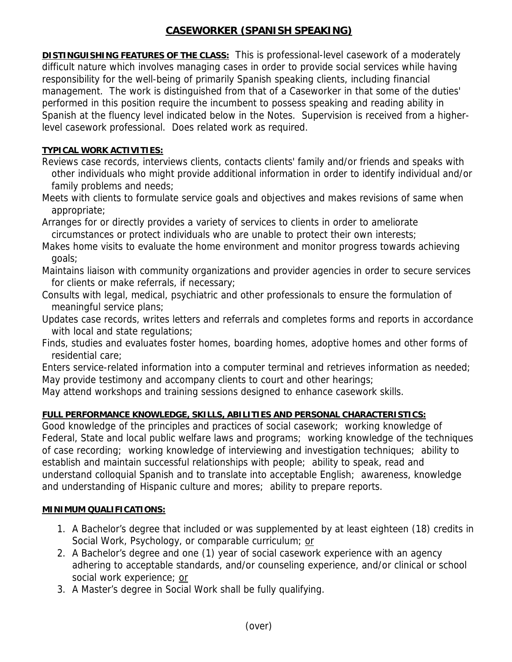# **CASEWORKER (SPANISH SPEAKING)**

**DISTINGUISHING FEATURES OF THE CLASS:** This is professional-level casework of a moderately difficult nature which involves managing cases in order to provide social services while having responsibility for the well-being of primarily Spanish speaking clients, including financial management. The work is distinguished from that of a Caseworker in that some of the duties' performed in this position require the incumbent to possess speaking and reading ability in Spanish at the fluency level indicated below in the Notes. Supervision is received from a higherlevel casework professional. Does related work as required.

### **TYPICAL WORK ACTIVITIES:**

- Reviews case records, interviews clients, contacts clients' family and/or friends and speaks with other individuals who might provide additional information in order to identify individual and/or family problems and needs;
- Meets with clients to formulate service goals and objectives and makes revisions of same when appropriate;
- Arranges for or directly provides a variety of services to clients in order to ameliorate circumstances or protect individuals who are unable to protect their own interests;
- Makes home visits to evaluate the home environment and monitor progress towards achieving goals;
- Maintains liaison with community organizations and provider agencies in order to secure services for clients or make referrals, if necessary;
- Consults with legal, medical, psychiatric and other professionals to ensure the formulation of meaningful service plans;
- Updates case records, writes letters and referrals and completes forms and reports in accordance with local and state regulations;
- Finds, studies and evaluates foster homes, boarding homes, adoptive homes and other forms of residential care;
- Enters service-related information into a computer terminal and retrieves information as needed; May provide testimony and accompany clients to court and other hearings;
- May attend workshops and training sessions designed to enhance casework skills.

## **FULL PERFORMANCE KNOWLEDGE, SKILLS, ABILITIES AND PERSONAL CHARACTERISTICS:**

Good knowledge of the principles and practices of social casework; working knowledge of Federal, State and local public welfare laws and programs; working knowledge of the techniques of case recording; working knowledge of interviewing and investigation techniques; ability to establish and maintain successful relationships with people; ability to speak, read and understand colloquial Spanish and to translate into acceptable English; awareness, knowledge and understanding of Hispanic culture and mores; ability to prepare reports.

#### **MINIMUM QUALIFICATIONS:**

- 1. A Bachelor's degree that included or was supplemented by at least eighteen (18) credits in Social Work, Psychology, or comparable curriculum; or
- 2. A Bachelor's degree and one (1) year of social casework experience with an agency adhering to acceptable standards, and/or counseling experience, and/or clinical or school social work experience; or
- 3. A Master's degree in Social Work shall be fully qualifying.